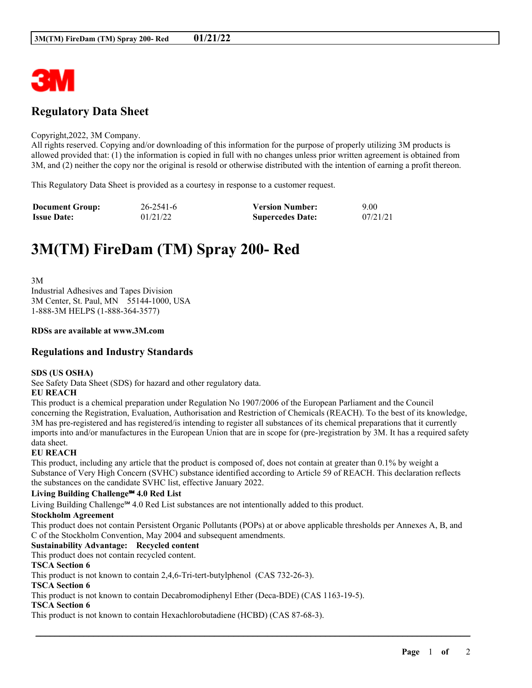

## **Regulatory Data Sheet**

#### Copyright,2022, 3M Company.

All rights reserved. Copying and/or downloading of this information for the purpose of properly utilizing 3M products is allowed provided that: (1) the information is copied in full with no changes unless prior written agreement is obtained from 3M, and (2) neither the copy nor the original is resold or otherwise distributed with the intention of earning a profit thereon.

This Regulatory Data Sheet is provided as a courtesy in response to a customer request.

| <b>Document Group:</b> | $26 - 2541 - 6$ | <b>Version Number:</b>  | 9.00     |
|------------------------|-----------------|-------------------------|----------|
| <b>Issue Date:</b>     | 01/21/22        | <b>Supercedes Date:</b> | 07/21/21 |

# **3M(TM) FireDam (TM) Spray 200- Red**

3M Industrial Adhesives and Tapes Division 3M Center, St. Paul, MN 55144-1000, USA 1-888-3M HELPS (1-888-364-3577)

#### **RDSs are available at www.3M.com**

## **Regulations and Industry Standards**

#### **SDS (US OSHA)**

See Safety Data Sheet (SDS) for hazard and other regulatory data.

## **EU REACH**

This product is a chemical preparation under Regulation No 1907/2006 of the European Parliament and the Council concerning the Registration, Evaluation, Authorisation and Restriction of Chemicals (REACH). To the best of its knowledge, 3M has pre-registered and has registered/is intending to register all substances of its chemical preparations that it currently imports into and/or manufactures in the European Union that are in scope for (pre-)registration by 3M. It has a required safety data sheet.

#### **EU REACH**

This product, including any article that the product is composed of, does not contain at greater than 0.1% by weight a Substance of Very High Concern (SVHC) substance identified according to Article 59 of REACH. This declaration reflects the substances on the candidate SVHC list, effective January 2022.

#### **Living Building Challenge℠ 4.0 Red List**

Living Building Challenge℠ 4.0 Red List substances are not intentionally added to this product.

#### **Stockholm Agreement**

This product does not contain Persistent Organic Pollutants (POPs) at or above applicable thresholds per Annexes A, B, and C of the Stockholm Convention, May 2004 and subsequent amendments.

\_\_\_\_\_\_\_\_\_\_\_\_\_\_\_\_\_\_\_\_\_\_\_\_\_\_\_\_\_\_\_\_\_\_\_\_\_\_\_\_\_\_\_\_\_\_\_\_\_\_\_\_\_\_\_\_\_\_\_\_\_\_\_\_\_\_\_\_\_\_\_\_\_\_\_\_\_\_\_\_\_\_\_\_\_\_\_\_\_\_

### **Sustainability Advantage: Recycled content**

This product does not contain recycled content.

#### **TSCA Section 6**

This product is not known to contain 2,4,6-Tri-tert-butylphenol (CAS 732-26-3).

#### **TSCA Section 6**

This product is not known to contain Decabromodiphenyl Ether (Deca-BDE) (CAS 1163-19-5).

#### **TSCA Section 6**

This product is not known to contain Hexachlorobutadiene (HCBD) (CAS 87-68-3).